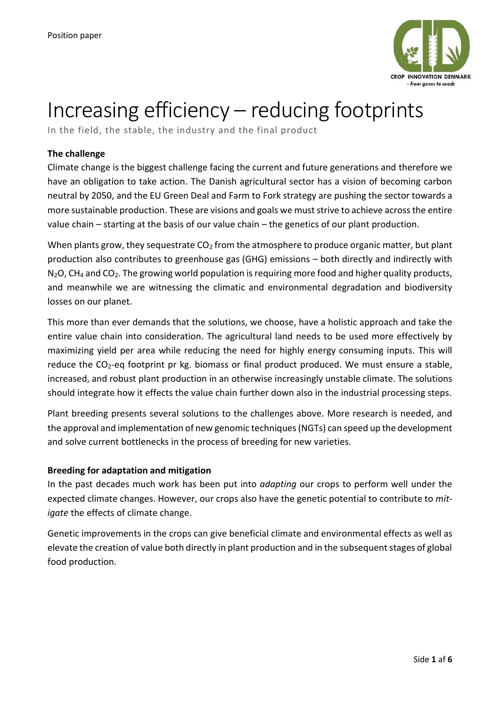

# Increasing efficiency – reducing footprints

In the field, the stable, the industry and the final product

# **The challenge**

Climate change is the biggest challenge facing the current and future generations and therefore we have an obligation to take action. The Danish agricultural sector has a vision of becoming carbon neutral by 2050, and the EU Green Deal and Farm to Fork strategy are pushing the sector towards a more sustainable production. These are visions and goals we must strive to achieve across the entire value chain – starting at the basis of our value chain – the genetics of our plant production.

When plants grow, they sequestrate  $CO<sub>2</sub>$  from the atmosphere to produce organic matter, but plant production also contributes to greenhouse gas (GHG) emissions – both directly and indirectly with N<sub>2</sub>O, CH<sub>4</sub> and CO<sub>2</sub>. The growing world population is requiring more food and higher quality products, and meanwhile we are witnessing the climatic and environmental degradation and biodiversity losses on our planet.

This more than ever demands that the solutions, we choose, have a holistic approach and take the entire value chain into consideration. The agricultural land needs to be used more effectively by maximizing yield per area while reducing the need for highly energy consuming inputs. This will reduce the CO<sub>2</sub>-eq footprint pr kg. biomass or final product produced. We must ensure a stable, increased, and robust plant production in an otherwise increasingly unstable climate. The solutions should integrate how it effects the value chain further down also in the industrial processing steps.

Plant breeding presents several solutions to the challenges above. More research is needed, and the approval and implementation of new genomic techniques (NGTs) can speed up the development and solve current bottlenecks in the process of breeding for new varieties.

# **Breeding for adaptation and mitigation**

In the past decades much work has been put into *adapting* our crops to perform well under the expected climate changes. However, our crops also have the genetic potential to contribute to *mitigate* the effects of climate change.

Genetic improvements in the crops can give beneficial climate and environmental effects as well as elevate the creation of value both directly in plant production and in the subsequent stages of global food production.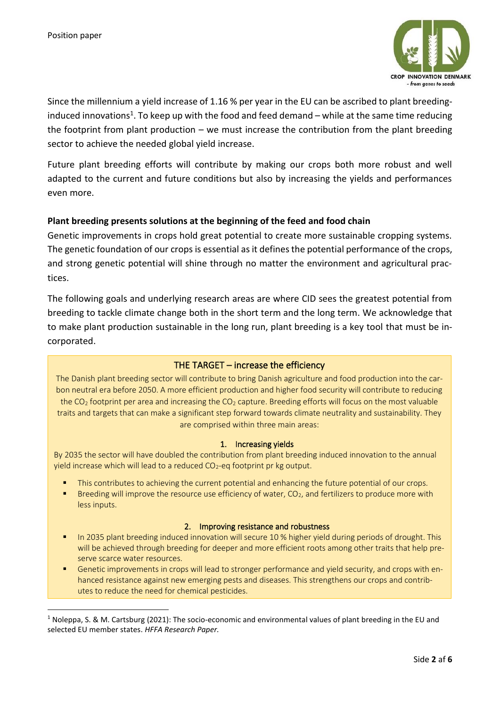

Since the millennium a yield increase of 1.16 % per year in the EU can be ascribed to plant breedinginduced innovations<sup>1</sup>. To keep up with the food and feed demand – while at the same time reducing the footprint from plant production – we must increase the contribution from the plant breeding sector to achieve the needed global yield increase.

Future plant breeding efforts will contribute by making our crops both more robust and well adapted to the current and future conditions but also by increasing the yields and performances even more.

# **Plant breeding presents solutions at the beginning of the feed and food chain**

Genetic improvements in crops hold great potential to create more sustainable cropping systems. The genetic foundation of our crops is essential as it defines the potential performance of the crops, and strong genetic potential will shine through no matter the environment and agricultural practices.

The following goals and underlying research areas are where CID sees the greatest potential from breeding to tackle climate change both in the short term and the long term. We acknowledge that to make plant production sustainable in the long run, plant breeding is a key tool that must be incorporated.

## THE TARGET – increase the efficiency

The Danish plant breeding sector will contribute to bring Danish agriculture and food production into the carbon neutral era before 2050. A more efficient production and higher food security will contribute to reducing the  $CO<sub>2</sub>$  footprint per area and increasing the  $CO<sub>2</sub>$  capture. Breeding efforts will focus on the most valuable traits and targets that can make a significant step forward towards climate neutrality and sustainability. They are comprised within three main areas:

## 1. Increasing yields

By 2035 the sector will have doubled the contribution from plant breeding induced innovation to the annual yield increase which will lead to a reduced  $CO<sub>2</sub>$ -eq footprint pr kg output.

- This contributes to achieving the current potential and enhancing the future potential of our crops.
- **EXECT** Breeding will improve the resource use efficiency of water,  $CO<sub>2</sub>$ , and fertilizers to produce more with less inputs.

## 2. Improving resistance and robustness

- In 2035 plant breeding induced innovation will secure 10 % higher yield during periods of drought. This will be achieved through breeding for deeper and more efficient roots among other traits that help preserve scarce water resources.
- Genetic improvements in crops will lead to stronger performance and vield security, and crops with enhanced resistance against new emerging pests and diseases. This strengthens our crops and contributes to reduce the need for chemical pesticides.

<sup>&</sup>lt;sup>1</sup> Noleppa, S. & M. Cartsburg (2021): The socio-economic and environmental values of plant breeding in the EU and selected EU member states. *HFFA Research Paper.*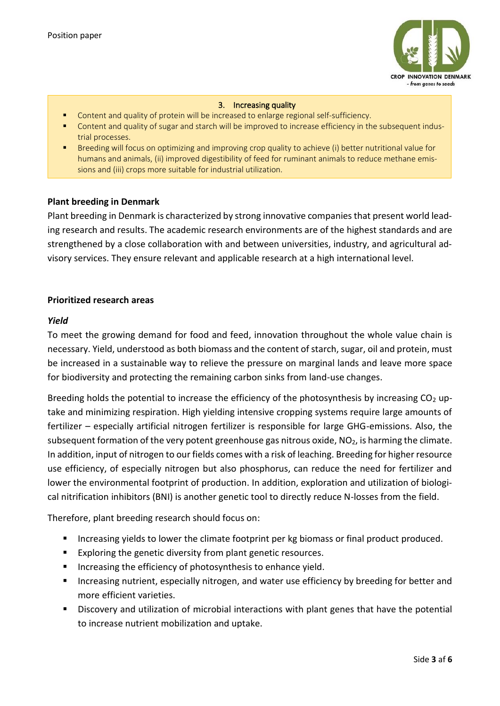

#### 3. Increasing quality

- Content and quality of protein will be increased to enlarge regional self-sufficiency.
- Content and quality of sugar and starch will be improved to increase efficiency in the subsequent industrial processes.
- Breeding will focus on optimizing and improving crop quality to achieve (i) better nutritional value for humans and animals, (ii) improved digestibility of feed for ruminant animals to reduce methane emissions and (iii) crops more suitable for industrial utilization.

## **Plant breeding in Denmark**

Plant breeding in Denmark is characterized by strong innovative companies that present world leading research and results. The academic research environments are of the highest standards and are strengthened by a close collaboration with and between universities, industry, and agricultural advisory services. They ensure relevant and applicable research at a high international level.

## **Prioritized research areas**

## *Yield*

To meet the growing demand for food and feed, innovation throughout the whole value chain is necessary. Yield, understood as both biomass and the content of starch, sugar, oil and protein, must be increased in a sustainable way to relieve the pressure on marginal lands and leave more space for biodiversity and protecting the remaining carbon sinks from land-use changes.

Breeding holds the potential to increase the efficiency of the photosynthesis by increasing  $CO<sub>2</sub>$  uptake and minimizing respiration. High yielding intensive cropping systems require large amounts of fertilizer – especially artificial nitrogen fertilizer is responsible for large GHG-emissions. Also, the subsequent formation of the very potent greenhouse gas nitrous oxide, NO<sub>2</sub>, is harming the climate. In addition, input of nitrogen to our fields comes with a risk of leaching. Breeding for higher resource use efficiency, of especially nitrogen but also phosphorus, can reduce the need for fertilizer and lower the environmental footprint of production. In addition, exploration and utilization of biological nitrification inhibitors (BNI) is another genetic tool to directly reduce N-losses from the field.

Therefore, plant breeding research should focus on:

- Increasing yields to lower the climate footprint per kg biomass or final product produced.
- Exploring the genetic diversity from plant genetic resources.
- Increasing the efficiency of photosynthesis to enhance yield.
- Increasing nutrient, especially nitrogen, and water use efficiency by breeding for better and more efficient varieties.
- Discovery and utilization of microbial interactions with plant genes that have the potential to increase nutrient mobilization and uptake.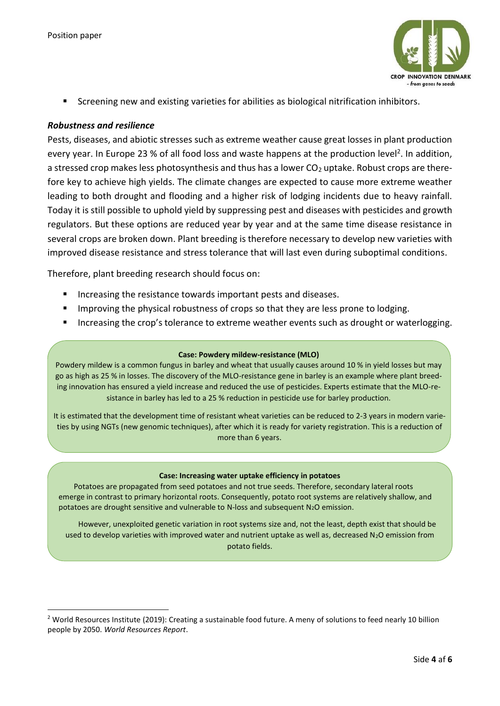

Screening new and existing varieties for abilities as biological nitrification inhibitors.

# *Robustness and resilience*

Pests, diseases, and abiotic stresses such as extreme weather cause great losses in plant production every year. In Europe 23 % of all food loss and waste happens at the production level<sup>2</sup>. In addition, a stressed crop makes less photosynthesis and thus has a lower CO<sub>2</sub> uptake. Robust crops are therefore key to achieve high yields. The climate changes are expected to cause more extreme weather leading to both drought and flooding and a higher risk of lodging incidents due to heavy rainfall. Today it is still possible to uphold yield by suppressing pest and diseases with pesticides and growth regulators. But these options are reduced year by year and at the same time disease resistance in several crops are broken down. Plant breeding is therefore necessary to develop new varieties with improved disease resistance and stress tolerance that will last even during suboptimal conditions.

Therefore, plant breeding research should focus on:

- Increasing the resistance towards important pests and diseases.
- **■** Improving the physical robustness of crops so that they are less prone to lodging.
- Increasing the crop's tolerance to extreme weather events such as drought or waterlogging.

## **Case: Powdery mildew-resistance (MLO)**

Powdery mildew is a common fungus in barley and wheat that usually causes around 10 % in yield losses but may go as high as 25 % in losses. The discovery of the MLO-resistance gene in barley is an example where plant breeding innovation has ensured a yield increase and reduced the use of pesticides. Experts estimate that the MLO-resistance in barley has led to a 25 % reduction in pesticide use for barley production.

It is estimated that the development time of resistant wheat varieties can be reduced to 2-3 years in modern varieties by using NGTs (new genomic techniques), after which it is ready for variety registration. This is a reduction of more than 6 years.

#### **Case: Increasing water uptake efficiency in potatoes**

Potatoes are propagated from seed potatoes and not true seeds. Therefore, secondary lateral roots emerge in contrast to primary horizontal roots. Consequently, potato root systems are relatively shallow, and potatoes are drought sensitive and vulnerable to N-loss and subsequent N2O emission.

However, unexploited genetic variation in root systems size and, not the least, depth exist that should be used to develop varieties with improved water and nutrient uptake as well as, decreased N<sub>2</sub>O emission from potato fields.

<sup>&</sup>lt;sup>2</sup> World Resources Institute (2019): Creating a sustainable food future. A meny of solutions to feed nearly 10 billion people by 2050. *World Resources Report*.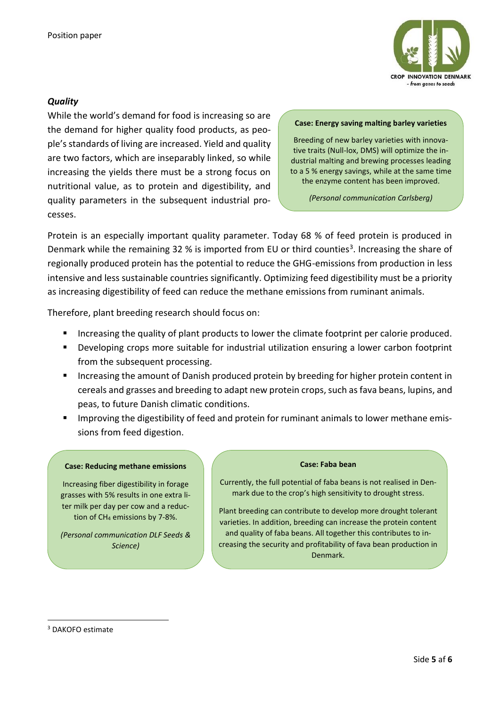

# *Quality*

While the world's demand for food is increasing so are the demand for higher quality food products, as people's standards of living are increased. Yield and quality are two factors, which are inseparably linked, so while increasing the yields there must be a strong focus on nutritional value, as to protein and digestibility, and quality parameters in the subsequent industrial processes.

#### **Case: Energy saving malting barley varieties**

Breeding of new barley varieties with innovative traits (Null-lox, DMS) will optimize the industrial malting and brewing processes leading to a 5 % energy savings, while at the same time the enzyme content has been improved.

*(Personal communication Carlsberg)*

Protein is an especially important quality parameter. Today 68 % of feed protein is produced in Denmark while the remaining 32 % is imported from EU or third counties<sup>3</sup>. Increasing the share of regionally produced protein has the potential to reduce the GHG-emissions from production in less intensive and less sustainable countries significantly. Optimizing feed digestibility must be a priority as increasing digestibility of feed can reduce the methane emissions from ruminant animals.

Therefore, plant breeding research should focus on:

- Increasing the quality of plant products to lower the climate footprint per calorie produced.
- Developing crops more suitable for industrial utilization ensuring a lower carbon footprint from the subsequent processing.
- Increasing the amount of Danish produced protein by breeding for higher protein content in cereals and grasses and breeding to adapt new protein crops, such as fava beans, lupins, and peas, to future Danish climatic conditions.
- Improving the digestibility of feed and protein for ruminant animals to lower methane emissions from feed digestion.

#### **Case: Reducing methane emissions**

Increasing fiber digestibility in forage grasses with 5% results in one extra liter milk per day per cow and a reduction of CH<sup>4</sup> emissions by 7-8%.

*(Personal communication DLF Seeds & Science)*

#### **Case: Faba bean**

Currently, the full potential of faba beans is not realised in Denmark due to the crop's high sensitivity to drought stress.

Plant breeding can contribute to develop more drought tolerant varieties. In addition, breeding can increase the protein content and quality of faba beans. All together this contributes to increasing the security and profitability of fava bean production in Denmark.

<sup>3</sup> DAKOFO estimate